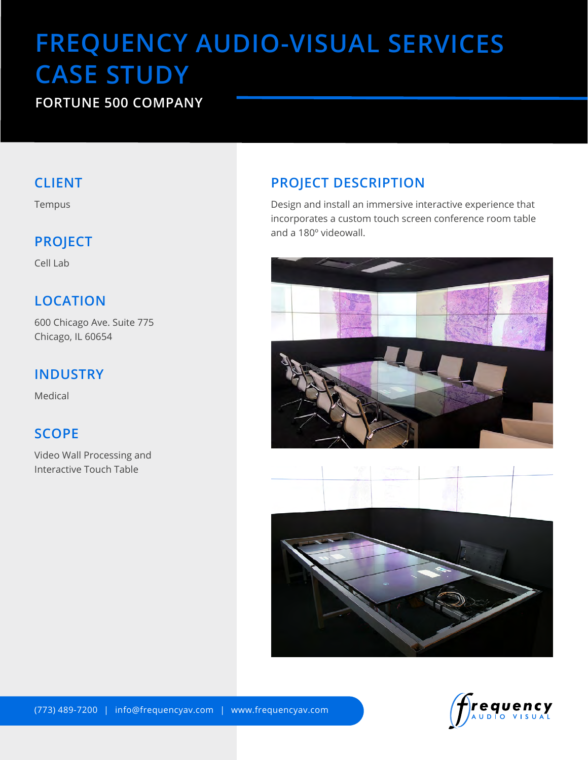# **FREQUENCY AUDIO-VISUAL SERVICES CASE STUDY**

## **FORTUNE 500 COMPANY**

### **CLIENT**

Tempus

## **PROJECT**

Cell Lab

# **LOCATION**

600 Chicago Ave. Suite 775 Chicago, IL 60654

## **INDUSTRY**

Medical

## **SCOPE**

Video Wall Processing and Interactive Touch Table

# **PROJECT DESCRIPTION**

Design and install an immersive interactive experience that incorporates a custom touch screen conference room table and a 180º videowall.